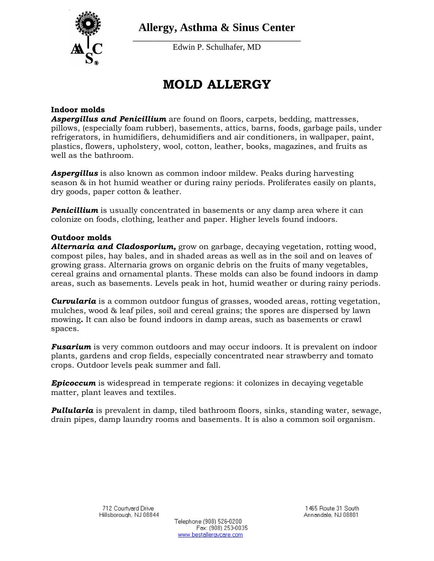

**Allergy, Asthma & Sinus Center**

**\_\_\_\_\_\_\_\_\_\_\_\_\_\_\_\_\_\_\_\_\_\_\_\_\_\_\_\_\_\_\_\_\_\_\_\_\_\_\_\_\_\_\_\_\_\_\_** Edwin P. Schulhafer, MD

# **MOLD ALLERGY**

### **Indoor molds**

*Aspergillus and Penicillium* are found on floors, carpets, bedding, mattresses, pillows, (especially foam rubber), basements, attics, barns, foods, garbage pails, under refrigerators, in humidifiers, dehumidifiers and air conditioners, in wallpaper, paint, plastics, flowers, upholstery, wool, cotton, leather, books, magazines, and fruits as well as the bathroom.

*Aspergillus* is also known as common indoor mildew. Peaks during harvesting season & in hot humid weather or during rainy periods. Proliferates easily on plants, dry goods, paper cotton & leather.

**Penicillium** is usually concentrated in basements or any damp area where it can colonize on foods, clothing, leather and paper. Higher levels found indoors.

#### **Outdoor molds**

*Alternaria and Cladosporium,* grow on garbage, decaying vegetation, rotting wood, compost piles, hay bales, and in shaded areas as well as in the soil and on leaves of growing grass. Alternaria grows on organic debris on the fruits of many vegetables, cereal grains and ornamental plants. These molds can also be found indoors in damp areas, such as basements. Levels peak in hot, humid weather or during rainy periods.

*Curvularia* is a common outdoor fungus of grasses, wooded areas, rotting vegetation, mulches, wood & leaf piles, soil and cereal grains; the spores are dispersed by lawn mowing**.** It can also be found indoors in damp areas, such as basements or crawl spaces.

*Fusarium* is very common outdoors and may occur indoors. It is prevalent on indoor plants, gardens and crop fields, especially concentrated near strawberry and tomato crops. Outdoor levels peak summer and fall.

*Epicoccum* is widespread in temperate regions: it colonizes in decaying vegetable matter, plant leaves and textiles.

*Pullularia* is prevalent in damp, tiled bathroom floors, sinks, standing water, sewage, drain pipes, damp laundry rooms and basements. It is also a common soil organism.